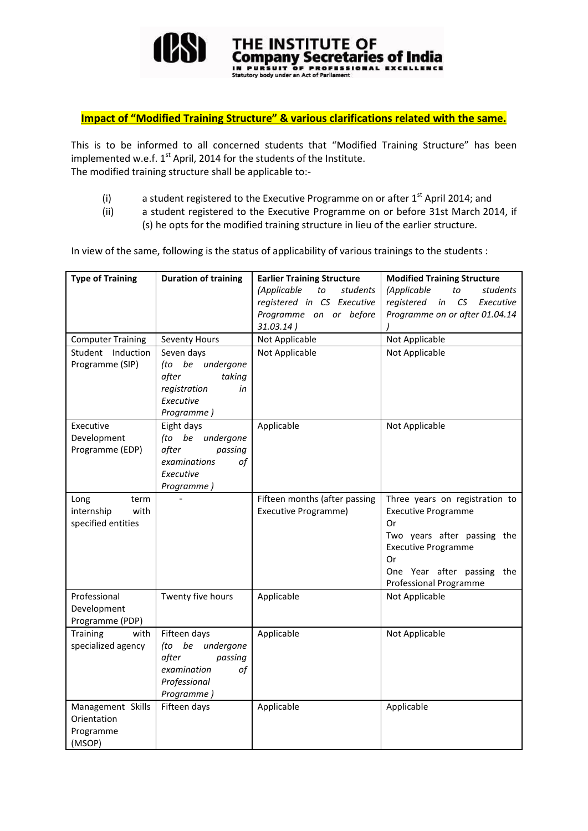

## **Impact of "Modified Training Structure" & various clarifications related with the same.**

This is to be informed to all concerned students that "Modified Training Structure" has been implemented w.e.f.  $1^{st}$  April, 2014 for the students of the Institute. The modified training structure shall be applicable to:-

- (i) a student registered to the Executive Programme on or after  $1<sup>st</sup>$  April 2014; and
- (ii) a student registered to the Executive Programme on or before 31st March 2014, if (s) he opts for the modified training structure in lieu of the earlier structure.

In view of the same, following is the status of applicability of various trainings to the students :

| <b>Type of Training</b>  | <b>Duration of training</b>     | <b>Earlier Training Structure</b> | <b>Modified Training Structure</b> |  |
|--------------------------|---------------------------------|-----------------------------------|------------------------------------|--|
|                          |                                 | (Applicable<br>to<br>students     | (Applicable<br>to<br>students      |  |
|                          |                                 | registered in CS Executive        | CS<br>registered in<br>Executive   |  |
|                          |                                 | Programme on or before            | Programme on or after 01.04.14     |  |
|                          |                                 | 31.03.14)                         |                                    |  |
| <b>Computer Training</b> | Seventy Hours                   | Not Applicable                    | Not Applicable                     |  |
| Student Induction        | Seven days                      | Not Applicable                    | Not Applicable                     |  |
| Programme (SIP)          | (to be undergone                |                                   |                                    |  |
|                          | after<br>taking<br>registration |                                   |                                    |  |
|                          | in<br>Executive                 |                                   |                                    |  |
|                          | Programme)                      |                                   |                                    |  |
| Executive                | Eight days                      | Applicable                        | Not Applicable                     |  |
| Development              | undergone<br>(to be             |                                   |                                    |  |
| Programme (EDP)          | after<br>passing                |                                   |                                    |  |
|                          | of<br>examinations              |                                   |                                    |  |
|                          | Executive                       |                                   |                                    |  |
|                          | Programme)                      |                                   |                                    |  |
| Long<br>term             |                                 | Fifteen months (after passing     | Three years on registration to     |  |
| internship<br>with       |                                 | Executive Programme)              | <b>Executive Programme</b><br>0r   |  |
| specified entities       |                                 |                                   | Two years after passing the        |  |
|                          |                                 |                                   | <b>Executive Programme</b>         |  |
|                          |                                 |                                   | Or                                 |  |
|                          |                                 |                                   | One Year after passing the         |  |
|                          |                                 |                                   | <b>Professional Programme</b>      |  |
| Professional             | Twenty five hours               | Applicable                        | Not Applicable                     |  |
| Development              |                                 |                                   |                                    |  |
| Programme (PDP)          |                                 |                                   |                                    |  |
| Training<br>with         | Fifteen days                    | Applicable                        | Not Applicable                     |  |
| specialized agency       | (to be<br>undergone             |                                   |                                    |  |
|                          | after<br>passing                |                                   |                                    |  |
|                          | examination<br>of               |                                   |                                    |  |
|                          | Professional<br>Programme)      |                                   |                                    |  |
| Management Skills        | Fifteen days                    | Applicable                        | Applicable                         |  |
| Orientation              |                                 |                                   |                                    |  |
| Programme                |                                 |                                   |                                    |  |
| (MSOP)                   |                                 |                                   |                                    |  |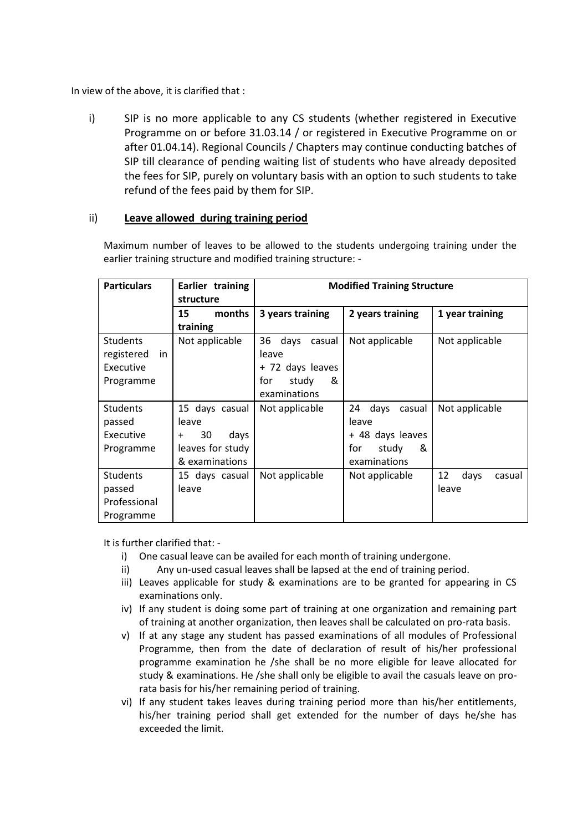In view of the above, it is clarified that :

i) SIP is no more applicable to any CS students (whether registered in Executive Programme on or before 31.03.14 / or registered in Executive Programme on or after 01.04.14). Regional Councils / Chapters may continue conducting batches of SIP till clearance of pending waiting list of students who have already deposited the fees for SIP, purely on voluntary basis with an option to such students to take refund of the fees paid by them for SIP.

## ii) **Leave allowed during training period**

Maximum number of leaves to be allowed to the students undergoing training under the earlier training structure and modified training structure: -

| <b>Particulars</b>                                            | Earlier training<br>structure                                                            | <b>Modified Training Structure</b>                                                     |                                                                                        |                               |
|---------------------------------------------------------------|------------------------------------------------------------------------------------------|----------------------------------------------------------------------------------------|----------------------------------------------------------------------------------------|-------------------------------|
|                                                               | months<br>15<br>training                                                                 | 3 years training                                                                       | 2 years training                                                                       | 1 year training               |
| <b>Students</b><br>registered<br>in<br>Executive<br>Programme | Not applicable                                                                           | days<br>casual<br>36<br>leave<br>+ 72 days leaves<br>for<br>&<br>study<br>examinations | Not applicable                                                                         | Not applicable                |
| <b>Students</b><br>passed<br>Executive<br>Programme           | 15 days casual<br>leave<br>30<br>days<br>$\ddot{}$<br>leaves for study<br>& examinations | Not applicable                                                                         | 24<br>days<br>casual<br>leave<br>+ 48 days leaves<br>&<br>for<br>study<br>examinations | Not applicable                |
| <b>Students</b><br>passed<br>Professional<br>Programme        | 15 days casual<br>leave                                                                  | Not applicable                                                                         | Not applicable                                                                         | 12<br>days<br>casual<br>leave |

It is further clarified that: -

- i) One casual leave can be availed for each month of training undergone.
- ii) Any un-used casual leaves shall be lapsed at the end of training period.
- iii) Leaves applicable for study & examinations are to be granted for appearing in CS examinations only.
- iv) If any student is doing some part of training at one organization and remaining part of training at another organization, then leaves shall be calculated on pro-rata basis.
- v) If at any stage any student has passed examinations of all modules of Professional Programme, then from the date of declaration of result of his/her professional programme examination he /she shall be no more eligible for leave allocated for study & examinations. He /she shall only be eligible to avail the casuals leave on prorata basis for his/her remaining period of training.
- vi) If any student takes leaves during training period more than his/her entitlements, his/her training period shall get extended for the number of days he/she has exceeded the limit.